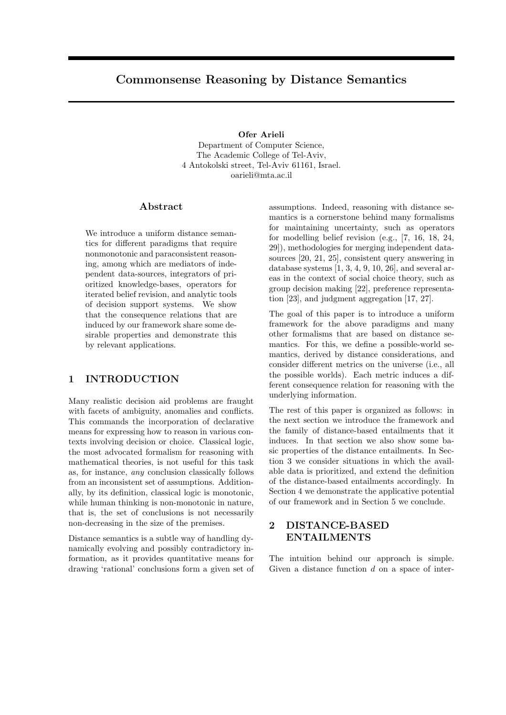# Commonsense Reasoning by Distance Semantics

Ofer Arieli Department of Computer Science, The Academic College of Tel-Aviv, 4 Antokolski street, Tel-Aviv 61161, Israel. oarieli@mta.ac.il

### Abstract

We introduce a uniform distance semantics for different paradigms that require nonmonotonic and paraconsistent reasoning, among which are mediators of independent data-sources, integrators of prioritized knowledge-bases, operators for iterated belief revision, and analytic tools of decision support systems. We show that the consequence relations that are induced by our framework share some desirable properties and demonstrate this by relevant applications.

# 1 INTRODUCTION

Many realistic decision aid problems are fraught with facets of ambiguity, anomalies and conflicts. This commands the incorporation of declarative means for expressing how to reason in various contexts involving decision or choice. Classical logic, the most advocated formalism for reasoning with mathematical theories, is not useful for this task as, for instance, any conclusion classically follows from an inconsistent set of assumptions. Additionally, by its definition, classical logic is monotonic, while human thinking is non-monotonic in nature, that is, the set of conclusions is not necessarily non-decreasing in the size of the premises.

Distance semantics is a subtle way of handling dynamically evolving and possibly contradictory information, as it provides quantitative means for drawing 'rational' conclusions form a given set of assumptions. Indeed, reasoning with distance semantics is a cornerstone behind many formalisms for maintaining uncertainty, such as operators for modelling belief revision (e.g., [7, 16, 18, 24, 29]), methodologies for merging independent datasources [20, 21, 25], consistent query answering in database systems  $[1, 3, 4, 9, 10, 26]$ , and several areas in the context of social choice theory, such as group decision making [22], preference representation [23], and judgment aggregation [17, 27].

The goal of this paper is to introduce a uniform framework for the above paradigms and many other formalisms that are based on distance semantics. For this, we define a possible-world semantics, derived by distance considerations, and consider different metrics on the universe (i.e., all the possible worlds). Each metric induces a different consequence relation for reasoning with the underlying information.

The rest of this paper is organized as follows: in the next section we introduce the framework and the family of distance-based entailments that it induces. In that section we also show some basic properties of the distance entailments. In Section 3 we consider situations in which the available data is prioritized, and extend the definition of the distance-based entailments accordingly. In Section 4 we demonstrate the applicative potential of our framework and in Section 5 we conclude.

# 2 DISTANCE-BASED ENTAILMENTS

The intuition behind our approach is simple. Given a distance function d on a space of inter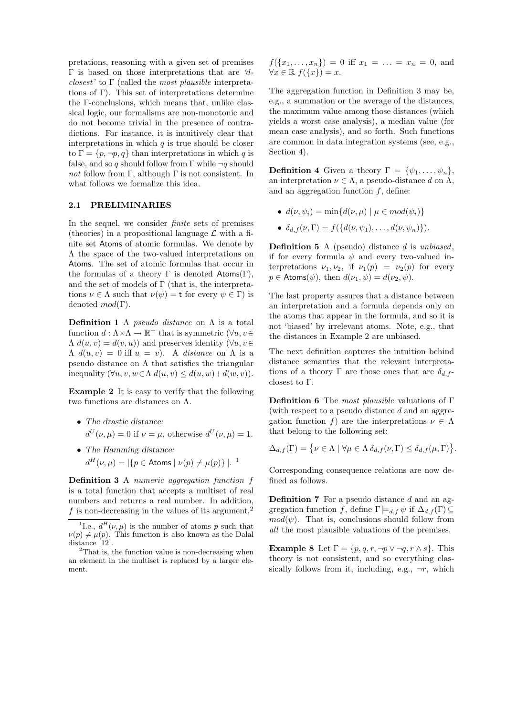pretations, reasoning with a given set of premises Γ is based on those interpretations that are 'dclosest' to  $\Gamma$  (called the most plausible interpretations of Γ). This set of interpretations determine the Γ-conclusions, which means that, unlike classical logic, our formalisms are non-monotonic and do not become trivial in the presence of contradictions. For instance, it is intuitively clear that interpretations in which  $q$  is true should be closer to  $\Gamma = \{p, \neg p, q\}$  than interpretations in which q is false, and so q should follow from Γ while  $\neg q$  should *not* follow from Γ, although Γ is not consistent. In what follows we formalize this idea.

#### 2.1 PRELIMINARIES

In the sequel, we consider finite sets of premises (theories) in a propositional language  $\mathcal L$  with a finite set Atoms of atomic formulas. We denote by Λ the space of the two-valued interpretations on Atoms. The set of atomic formulas that occur in the formulas of a theory  $\Gamma$  is denoted Atoms( $\Gamma$ ), and the set of models of  $\Gamma$  (that is, the interpretations  $\nu \in \Lambda$  such that  $\nu(\psi) = t$  for every  $\psi \in \Gamma$ ) is denoted  $mod(\Gamma)$ .

**Definition 1** A *pseudo distance* on  $\Lambda$  is a total function  $d : \Lambda \times \Lambda \to \mathbb{R}^+$  that is symmetric  $(\forall u, v \in$  $\Lambda d(u, v) = d(v, u)$  and preserves identity  $(\forall u, v \in$  $\Lambda$   $d(u, v) = 0$  iff  $u = v$ ). A distance on  $\Lambda$  is a pseudo distance on  $\Lambda$  that satisfies the triangular inequality  $(\forall u, v, w \in \Lambda \ d(u, v) \leq d(u, w) + d(w, v)).$ 

Example 2 It is easy to verify that the following two functions are distances on Λ.

- The drastic distance:  $d^U(\nu,\mu) = 0$  if  $\nu = \mu$ , otherwise  $d^U(\nu,\mu) = 1$ .
- The Hamming distance:  $d^H(\nu,\mu) = |\{p \in \text{Atoms} \mid \nu(p) \neq \mu(p)\}|.$ <sup>1</sup>

Definition 3 A numeric aggregation function f is a total function that accepts a multiset of real numbers and returns a real number. In addition, f is non-decreasing in the values of its argument,<sup>2</sup>

 $f({x_1, \ldots, x_n}) = 0$  iff  $x_1 = \ldots = x_n = 0$ , and  $\forall x \in \mathbb{R} \ f(\{x\}) = x.$ 

The aggregation function in Definition 3 may be, e.g., a summation or the average of the distances, the maximum value among those distances (which yields a worst case analysis), a median value (for mean case analysis), and so forth. Such functions are common in data integration systems (see, e.g., Section 4).

**Definition 4** Given a theory  $\Gamma = {\psi_1, \ldots, \psi_n},$ an interpretation  $\nu \in \Lambda$ , a pseudo-distance d on  $\Lambda$ , and an aggregation function  $f$ , define:

- $d(\nu, \psi_i) = \min\{d(\nu, \mu) \mid \mu \in mod(\psi_i)\}\$
- $\delta_{d,f}(\nu,\Gamma) = f({d(\nu,\psi_1),\ldots,d(\nu,\psi_n)}).$

**Definition 5** A (pseudo) distance  $d$  is unbiased, if for every formula  $\psi$  and every two-valued interpretations  $\nu_1, \nu_2$ , if  $\nu_1(p) = \nu_2(p)$  for every  $p \in$  Atoms( $\psi$ ), then  $d(\nu_1, \psi) = d(\nu_2, \psi)$ .

The last property assures that a distance between an interpretation and a formula depends only on the atoms that appear in the formula, and so it is not 'biased' by irrelevant atoms. Note, e.g., that the distances in Example 2 are unbiased.

The next definition captures the intuition behind distance semantics that the relevant interpretations of a theory Γ are those ones that are  $\delta_{d,f}$ closest to Γ.

Definition 6 The most plausible valuations of Γ (with respect to a pseudo distance d and an aggregation function f) are the interpretations  $\nu \in \Lambda$ that belong to the following set:

$$
\Delta_{d,f}(\Gamma) = \{ \nu \in \Lambda \mid \forall \mu \in \Lambda \, \delta_{d,f}(\nu, \Gamma) \leq \delta_{d,f}(\mu, \Gamma) \}.
$$

Corresponding consequence relations are now defined as follows.

**Definition 7** For a pseudo distance  $d$  and an aggregation function f, define  $\Gamma \models_{d,f} \psi$  if  $\Delta_{d,f}(\Gamma) \subseteq$  $mod(\psi)$ . That is, conclusions should follow from all the most plausible valuations of the premises.

**Example 8** Let  $\Gamma = \{p, q, r, \neg p \lor \neg q, r \land s\}$ . This theory is not consistent, and so everything classically follows from it, including, e.g.,  $\neg r$ , which

<sup>&</sup>lt;sup>1</sup>I.e.,  $d^H(\nu,\mu)$  is the number of atoms p such that  $\nu(p) \neq \mu(p)$ . This function is also known as the Dalal distance [12].

 $2$ That is, the function value is non-decreasing when an element in the multiset is replaced by a larger element.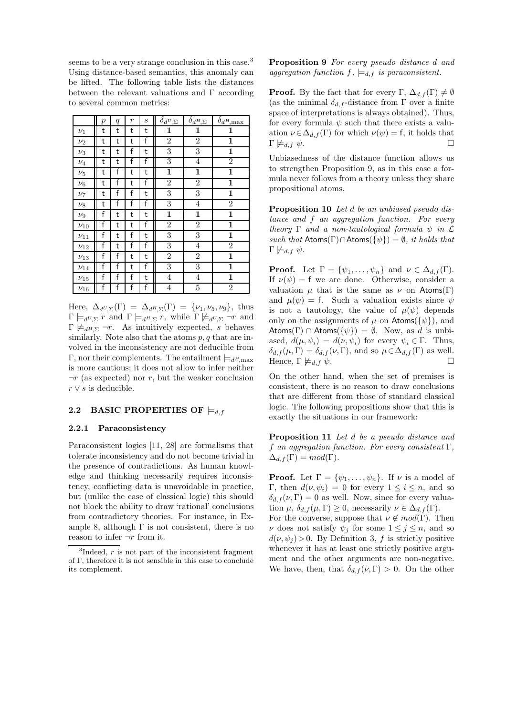seems to be a very strange conclusion in this case.<sup>3</sup> Using distance-based semantics, this anomaly can be lifted. The following table lists the distances between the relevant valuations and Γ according to several common metrics:

|            | $\boldsymbol{p}$ | q | $\boldsymbol{r}$ | $\boldsymbol{s}$ | $\delta_{d{\ensuremath{\boldsymbol{U}}},\ensuremath{\boldsymbol{\Sigma}}}$ | $\delta_{d^H\!,\Sigma}$ | $\delta_{d^H\!,\rm max}$ |
|------------|------------------|---|------------------|------------------|----------------------------------------------------------------------------|-------------------------|--------------------------|
| $\nu_1$    | t                | t | t                | t                | 1                                                                          | 1                       | 1                        |
| $\nu_2$    | t                | t | t                | f                | $\overline{2}$                                                             | $\overline{2}$          | $\mathbf 1$              |
| $\nu_3$    | t                | t | f                | t                | 3                                                                          | 3                       | $\mathbf{1}$             |
| $\nu_4$    | t                | t | f                | f                | 3                                                                          | $\overline{4}$          | $\overline{2}$           |
| $\nu_5$    | t                | f | t                | t                | $\overline{\mathbf{1}}$                                                    | $\overline{\mathbf{1}}$ | $\overline{\mathbf{1}}$  |
| $\nu_6$    | t                | f | t                | f                | $\overline{2}$                                                             | $\overline{2}$          | $\overline{\mathbf{1}}$  |
| $\nu_7$    | t                | f | f                | t                | $\overline{3}$                                                             | $\overline{3}$          | 1                        |
| $\nu_8$    | t                | f | f                | f                | $\overline{3}$                                                             | $\overline{4}$          | $\overline{2}$           |
| $\nu_9$    | f                | t | t                | t                | 1                                                                          | $\overline{\mathbf{1}}$ | $\overline{\mathbf{1}}$  |
| $\nu_{10}$ | f                | t | t                | f                | $\overline{2}$                                                             | $\overline{2}$          | 1                        |
| $\nu_{11}$ | f                | t | f                | t                | 3                                                                          | 3                       | $\mathbf{1}$             |
| $\nu_{12}$ | f                | t | f                | f                | 3                                                                          | $\overline{4}$          | $\overline{2}$           |
| $\nu_{13}$ | f                | f | t                | t                | $\overline{2}$                                                             | $\overline{2}$          | 1                        |
| $\nu_{14}$ | f                | f | t                | f                | 3                                                                          | 3                       | $\mathbf 1$              |
| $\nu_{15}$ | f                | f | f                | t                | $\overline{4}$                                                             | $\overline{4}$          | 1                        |
| $\nu_{16}$ | f                | f | f                | f                | $\overline{4}$                                                             | $\overline{5}$          | $\overline{2}$           |

Here,  $\Delta_{d^U, \Sigma}(\Gamma) = \Delta_{d^H, \Sigma}(\Gamma) = \{\nu_1, \nu_5, \nu_9\}$ , thus  $\Gamma \models_{d^U, \Sigma} r$  and  $\Gamma \models_{d^H, \Sigma} r$ , while  $\Gamma \not\models_{d^U, \Sigma} \neg r$  and  $\Gamma \not\models_{d^H\Sigma} \neg r$ . As intuitively expected, s behaves similarly. Note also that the atoms  $p, q$  that are involved in the inconsistency are not deducible from Γ, nor their complements. The entailment  $\models_d H$ <sub>, max</sub> is more cautious; it does not allow to infer neither  $\neg r$  (as expected) nor r, but the weaker conclusion  $r \vee s$  is deducible.

#### 2.2 BASIC PROPERTIES OF  $\models d, f$

#### 2.2.1 Paraconsistency

Paraconsistent logics [11, 28] are formalisms that tolerate inconsistency and do not become trivial in the presence of contradictions. As human knowledge and thinking necessarily requires inconsistency, conflicting data is unavoidable in practice, but (unlike the case of classical logic) this should not block the ability to draw 'rational' conclusions from contradictory theories. For instance, in Example 8, although  $\Gamma$  is not consistent, there is no reason to infer  $\neg r$  from it.

Proposition 9 For every pseudo distance d and aggregation function  $f$ ,  $\models_{d,f}$  is paraconsistent.

**Proof.** By the fact that for every  $\Gamma$ ,  $\Delta_{d,f}(\Gamma) \neq \emptyset$ (as the minimal  $\delta_{d,f}$ -distance from  $\Gamma$  over a finite space of interpretations is always obtained). Thus, for every formula  $\psi$  such that there exists a valuation  $\nu \in \Delta_{d,f}(\Gamma)$  for which  $\nu(\psi) = f$ , it holds that  $\Gamma \not\models d, f \psi.$ 

Unbiasedness of the distance function allows us to strengthen Proposition 9, as in this case a formula never follows from a theory unless they share propositional atoms.

Proposition 10 Let d be an unbiased pseudo distance and f an aggregation function. For every theory  $\Gamma$  and a non-tautological formula  $\psi$  in  $\mathcal L$ such that  $\text{Atoms}(\Gamma) \cap \text{Atoms}(\{\psi\}) = \emptyset$ , it holds that  $\Gamma \not\models_{d,f} \psi.$ 

**Proof.** Let  $\Gamma = \{\psi_1, \ldots, \psi_n\}$  and  $\nu \in \Delta_{d,f}(\Gamma)$ . If  $\nu(\psi) = f$  we are done. Otherwise, consider a valuation  $\mu$  that is the same as  $\nu$  on Atoms(Γ) and  $\mu(\psi) = f$ . Such a valuation exists since  $\psi$ is not a tautology, the value of  $\mu(\psi)$  depends only on the assignments of  $\mu$  on Atoms( $\{\psi\}$ ), and Atoms(Γ) ∩ Atoms( $\{\psi\}$ ) =  $\emptyset$ . Now, as d is unbiased,  $d(\mu, \psi_i) = d(\nu, \psi_i)$  for every  $\psi_i \in \Gamma$ . Thus,  $\delta_{d,f}(\mu,\Gamma) = \delta_{d,f}(\nu,\Gamma)$ , and so  $\mu \in \Delta_{d,f}(\Gamma)$  as well. Hence,  $\Gamma \not\models d, f \psi$ .

On the other hand, when the set of premises is consistent, there is no reason to draw conclusions that are different from those of standard classical logic. The following propositions show that this is exactly the situations in our framework:

Proposition 11 Let d be a pseudo distance and f an aggregation function. For every consistent  $\Gamma$ ,  $\Delta_{d,f}(\Gamma) = mod(\Gamma).$ 

**Proof.** Let  $\Gamma = {\psi_1, \ldots, \psi_n}$ . If  $\nu$  is a model of Γ, then  $d(\nu, \psi_i) = 0$  for every  $1 \leq i \leq n$ , and so  $\delta_{d,f}(\nu,\Gamma)=0$  as well. Now, since for every valuation  $\mu$ ,  $\delta_{d,f}(\mu,\Gamma) \geq 0$ , necessarily  $\nu \in \Delta_{d,f}(\Gamma)$ .

For the converse, suppose that  $\nu \notin mod(\Gamma)$ . Then  $\nu$  does not satisfy  $\psi_j$  for some  $1 \leq j \leq n$ , and so  $d(\nu, \psi_j) > 0$ . By Definition 3, f is strictly positive whenever it has at least one strictly positive argument and the other arguments are non-negative. We have, then, that  $\delta_{d,f}(\nu,\Gamma) > 0$ . On the other

 ${}^{3}$ Indeed,  $r$  is not part of the inconsistent fragment of Γ, therefore it is not sensible in this case to conclude its complement.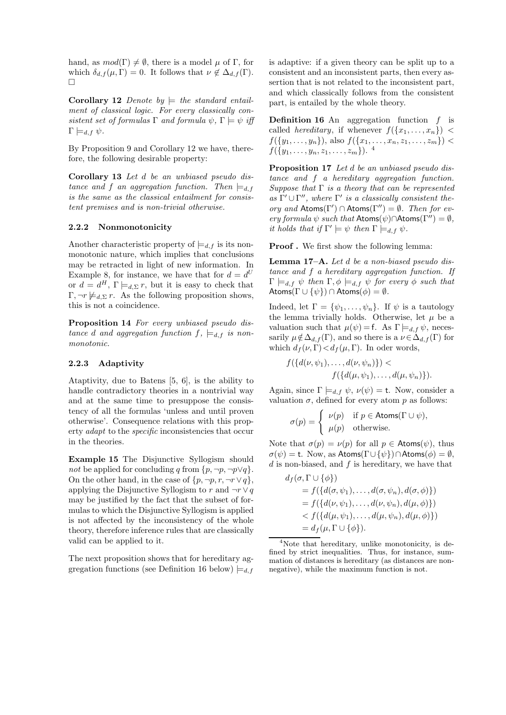hand, as  $mod(\Gamma) \neq \emptyset$ , there is a model  $\mu$  of Γ, for which  $\delta_{d,f}(\mu,\Gamma) = 0$ . It follows that  $\nu \notin \Delta_{d,f}(\Gamma)$ .  $\Box$ 

Corollary 12 Denote by  $\models$  the standard entailment of classical logic. For every classically consistent set of formulas  $\Gamma$  and formula  $\psi$ ,  $\Gamma \models \psi$  iff  $\Gamma \models_{d,f} \psi.$ 

By Proposition 9 and Corollary 12 we have, therefore, the following desirable property:

Corollary 13 Let d be an unbiased pseudo distance and f an aggregation function. Then  $\models_{d,f}$ is the same as the classical entailment for consistent premises and is non-trivial otherwise.

#### 2.2.2 Nonmonotonicity

Another characteristic property of  $\models d, f$  is its nonmonotonic nature, which implies that conclusions may be retracted in light of new information. In Example 8, for instance, we have that for  $d = d^U$ or  $d = d^H$ ,  $\Gamma \models_{d,\Sigma} r$ , but it is easy to check that  $\Gamma, \neg r \not\models d, \Sigma \dot{r}$ . As the following proposition shows, this is not a coincidence.

Proposition 14 For every unbiased pseudo distance d and aggregation function  $f$ ,  $\models_{d,f}$  is nonmonotonic.

#### 2.2.3 Adaptivity

Ataptivity, due to Batens [5, 6], is the ability to handle contradictory theories in a nontrivial way and at the same time to presuppose the consistency of all the formulas 'unless and until proven otherwise'. Consequence relations with this property adapt to the specific inconsistencies that occur in the theories.

Example 15 The Disjunctive Syllogism should not be applied for concluding q from  $\{p, \neg p, \neg p \lor q\}.$ On the other hand, in the case of  $\{p, \neg p, r, \neg r \vee q\},\$ applying the Disjunctive Syllogism to r and  $\neg r \vee q$ may be justified by the fact that the subset of formulas to which the Disjunctive Syllogism is applied is not affected by the inconsistency of the whole theory, therefore inference rules that are classically valid can be applied to it.

The next proposition shows that for hereditary aggregation functions (see Definition 16 below)  $\models d, f$  is adaptive: if a given theory can be split up to a consistent and an inconsistent parts, then every assertion that is not related to the inconsistent part, and which classically follows from the consistent part, is entailed by the whole theory.

**Definition 16** An aggregation function  $f$  is called *hereditary*, if whenever  $f(\lbrace x_1, \ldots, x_n \rbrace)$  <  $f({y_1, \ldots, y_n})$ , also  $f({x_1, \ldots, x_n, z_1, \ldots, z_m})$  <  $f({y_1, \ldots, y_n, z_1, \ldots, z_m}).$ <sup>4</sup>

Proposition 17 Let d be an unbiased pseudo distance and f a hereditary aggregation function. Suppose that  $\Gamma$  is a theory that can be represented as  $\Gamma' \cup \Gamma''$ , where  $\Gamma'$  is a classically consistent theory and  $\text{Atoms}(\Gamma') \cap \text{Atoms}(\Gamma'') = \emptyset$ . Then for every formula  $\psi$  such that  $\mathsf{Atoms}(\psi) \cap \mathsf{Atoms}(\Gamma'') = \emptyset$ , it holds that if  $\Gamma' \models \psi$  then  $\Gamma \models_{d,f} \psi$ .

Proof . We first show the following lemma:

Lemma 17–A. Let d be a non-biased pseudo distance and f a hereditary aggregation function. If  $\Gamma \models_{d,f} \psi$  then  $\Gamma, \phi \models_{d,f} \psi$  for every  $\phi$  such that Atoms( $\Gamma \cup \{\psi\}$ )  $\cap$  Atoms( $\phi$ ) =  $\emptyset$ .

Indeed, let  $\Gamma = {\psi_1, \ldots, \psi_n}$ . If  $\psi$  is a tautology the lemma trivially holds. Otherwise, let  $\mu$  be a valuation such that  $\mu(\psi) = f$ . As  $\Gamma \models_{d,f} \psi$ , necessarily  $\mu \notin \Delta_{d,f}(\Gamma)$ , and so there is a  $\nu \in \Delta_{d,f}(\Gamma)$  for which  $d_f(\nu, \Gamma) < d_f(\mu, \Gamma)$ . In oder words,

$$
f({d(\nu, \psi_1), \ldots, d(\nu, \psi_n)} >f({d(\mu, \psi_1), \ldots, d(\mu, \psi_n)}).
$$

Again, since  $\Gamma \models_{d,f} \psi, \nu(\psi) = \mathsf{t}$ . Now, consider a valuation  $\sigma$ , defined for every atom p as follows:

$$
\sigma(p) = \begin{cases} \nu(p) & \text{if } p \in \text{Atoms}(\Gamma \cup \psi), \\ \mu(p) & \text{otherwise.} \end{cases}
$$

Note that  $\sigma(p) = \nu(p)$  for all  $p \in$  Atoms( $\psi$ ), thus  $\sigma(\psi) = t$ . Now, as Atoms( $\Gamma \cup {\psi}$ )∩Atoms( $\phi$ ) =  $\emptyset$ ,  $d$  is non-biased, and  $f$  is hereditary, we have that

$$
d_f(\sigma, \Gamma \cup \{\phi\})
$$
  
=  $f(\{d(\sigma, \psi_1), \dots, d(\sigma, \psi_n), d(\sigma, \phi)\})$   
=  $f(\{d(\nu, \psi_1), \dots, d(\nu, \psi_n), d(\mu, \phi)\})$   
<  $f(\{d(\mu, \psi_1), \dots, d(\mu, \psi_n), d(\mu, \phi)\})$   
=  $d_f(\mu, \Gamma \cup \{\phi\}).$ 

<sup>4</sup>Note that hereditary, unlike monotonicity, is defined by strict inequalities. Thus, for instance, summation of distances is hereditary (as distances are nonnegative), while the maximum function is not.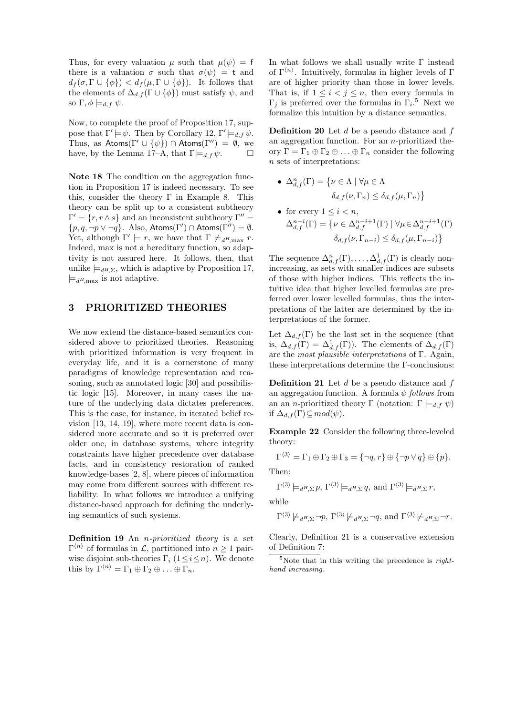Thus, for every valuation  $\mu$  such that  $\mu(\psi) = f$ there is a valuation  $\sigma$  such that  $\sigma(\psi) = t$  and  $d_f(\sigma, \Gamma \cup {\phi}) < d_f(\mu, \Gamma \cup {\phi}).$  It follows that the elements of  $\Delta_{d,f}(\Gamma \cup \{\phi\})$  must satisfy  $\psi$ , and so  $\Gamma, \phi \models_{d,f} \psi$ .

Now, to complete the proof of Proposition 17, suppose that  $\Gamma' \models \psi$ . Then by Corollary 12,  $\Gamma' \models_{d,f} \psi$ . Thus, as  $Atoms(\Gamma' \cup {\psi}) \cap Atoms(\Gamma'') = \emptyset$ , we have, by the Lemma 17–A, that  $\Gamma \models_{d,f} \psi$ .

Note 18 The condition on the aggregation function in Proposition 17 is indeed necessary. To see this, consider the theory  $\Gamma$  in Example 8. This theory can be split up to a consistent subtheory  $\Gamma' = \{r, r \wedge s\}$  and an inconsistent subtheory  $\Gamma'' =$  $\{p, q, \neg p \vee \neg q\}$ . Also, Atoms( $\Gamma'$ )  $\cap$  Atoms( $\Gamma''$ ) = Ø. Yet, although  $\Gamma' \models r$ , we have that  $\Gamma \not\models_{d^H,\max} r$ . Indeed, max is not a hereditary function, so adaptivity is not assured here. It follows, then, that unlike  $\models_{d^H\Sigma}$ , which is adaptive by Proposition 17,  $\models_{d^H,\text{max}}$  is not adaptive.

### 3 PRIORITIZED THEORIES

We now extend the distance-based semantics considered above to prioritized theories. Reasoning with prioritized information is very frequent in everyday life, and it is a cornerstone of many paradigms of knowledge representation and reasoning, such as annotated logic [30] and possibilistic logic [15]. Moreover, in many cases the nature of the underlying data dictates preferences. This is the case, for instance, in iterated belief revision [13, 14, 19], where more recent data is considered more accurate and so it is preferred over older one, in database systems, where integrity constraints have higher precedence over database facts, and in consistency restoration of ranked knowledge-bases [2, 8], where pieces of information may come from different sources with different reliability. In what follows we introduce a unifying distance-based approach for defining the underlying semantics of such systems.

**Definition 19** An *n-prioritized theory* is a set  $\Gamma^{\langle n \rangle}$  of formulas in  $\mathcal{L}$ , partitioned into  $n \geq 1$  pairwise disjoint sub-theories  $\Gamma_i$  ( $1 \leq i \leq n$ ). We denote this by  $\Gamma^{\langle n \rangle} = \Gamma_1 \oplus \Gamma_2 \oplus \ldots \oplus \Gamma_n$ .

In what follows we shall usually write Γ instead of  $\Gamma^{\langle n \rangle}$ . Intuitively, formulas in higher levels of  $\Gamma$ are of higher priority than those in lower levels. That is, if  $1 \leq i \leq j \leq n$ , then every formula in  $\Gamma_j$  is preferred over the formulas in  $\Gamma_i$ <sup>5</sup>. Next we formalize this intuition by a distance semantics.

**Definition 20** Let  $d$  be a pseudo distance and  $f$ an aggregation function. For an  $n$ -prioritized theory  $\Gamma = \Gamma_1 \oplus \Gamma_2 \oplus \ldots \oplus \Gamma_n$  consider the following n sets of interpretations:

• 
$$
\Delta_{d,f}^n(\Gamma) = \{ \nu \in \Lambda \mid \forall \mu \in \Lambda
$$

$$
\delta_{d,f}(\nu, \Gamma_n) \le \delta_{d,f}(\mu, \Gamma_n) \}
$$

• for every 
$$
1 \le i < n
$$
,  
\n
$$
\Delta_{d,f}^{n-i}(\Gamma) = \{ \nu \in \Delta_{d,f}^{n-i+1}(\Gamma) \mid \forall \mu \in \Delta_{d,f}^{n-i+1}(\Gamma)
$$
\n
$$
\delta_{d,f}(\nu, \Gamma_{n-i}) \le \delta_{d,f}(\mu, \Gamma_{n-i}) \}
$$

The sequence  $\Delta_{d,f}^n(\Gamma), \ldots, \Delta_{d,f}^1(\Gamma)$  is clearly nonincreasing, as sets with smaller indices are subsets of those with higher indices. This reflects the intuitive idea that higher levelled formulas are preferred over lower levelled formulas, thus the interpretations of the latter are determined by the interpretations of the former.

Let  $\Delta_{d,f}(\Gamma)$  be the last set in the sequence (that is,  $\Delta_{d,f}(\Gamma) = \Delta_{d,f}^1(\Gamma)$ . The elements of  $\Delta_{d,f}(\Gamma)$ are the most plausible interpretations of  $\Gamma$ . Again, these interpretations determine the Γ-conclusions:

**Definition 21** Let  $d$  be a pseudo distance and  $f$ an aggregation function. A formula  $\psi$  follows from an an *n*-prioritized theory Γ (notation: Γ  $\models$ <sub>d,f</sub>  $\psi$ ) if  $\Delta_{d,f}(\Gamma) \subseteq mod(\psi)$ .

Example 22 Consider the following three-leveled theory:

$$
\Gamma^{\langle 3 \rangle} = \Gamma_1 \oplus \Gamma_2 \oplus \Gamma_3 = \{\neg q, r\} \oplus \{\neg p \vee q\} \oplus \{p\}.
$$

Then:

$$
\Gamma^{\langle 3 \rangle} \models_{d^H, \Sigma} p, \Gamma^{\langle 3 \rangle} \models_{d^H, \Sigma} q, \text{ and } \Gamma^{\langle 3 \rangle} \models_{d^H, \Sigma} r,
$$

while

$$
\Gamma^{\langle 3 \rangle} \not\models_{d^H, \Sigma} \neg p, \Gamma^{\langle 3 \rangle} \not\models_{d^H, \Sigma} \neg q, \text{ and } \Gamma^{\langle 3 \rangle} \not\models_{d^H, \Sigma} \neg r.
$$

Clearly, Definition 21 is a conservative extension of Definition 7:

<sup>&</sup>lt;sup>5</sup>Note that in this writing the precedence is *right*hand increasing.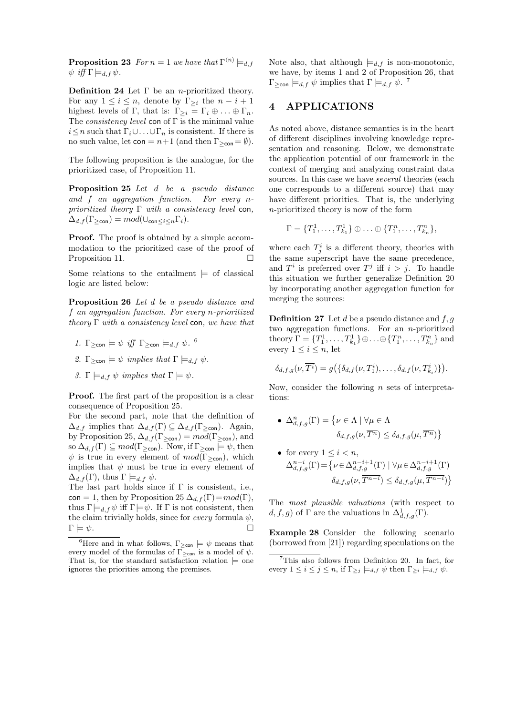**Proposition 23** For  $n = 1$  we have that  $\Gamma^{\langle n \rangle} \models_{d,f}$  $\psi$  iff  $\Gamma \models_{d,f} \psi$ .

**Definition 24** Let  $\Gamma$  be an *n*-prioritized theory. For any  $1 \leq i \leq n$ , denote by  $\Gamma_{\geq i}$  the  $n - i + 1$ highest levels of Γ, that is:  $\Gamma_{\geq i} = \Gamma_i \oplus \ldots \oplus \Gamma_n$ . The *consistency level* con of  $\Gamma$  is the minimal value  $i \leq n$  such that  $\Gamma_i \cup \ldots \cup \Gamma_n$  is consistent. If there is no such value, let  $con = n+1$  (and then  $\Gamma_{\geq con} = \emptyset$ ).

The following proposition is the analogue, for the prioritized case, of Proposition 11.

Proposition 25 Let d be a pseudo distance and f an aggregation function. For every nprioritized theory  $\Gamma$  with a consistency level con,  $\Delta_{d,f}(\Gamma_{\geq \text{con}})=mod(\cup_{\text{con}\leq i\leq n}\Gamma_i).$ 

Proof. The proof is obtained by a simple accommodation to the prioritized case of the proof of Proposition 11.

Some relations to the entailment  $\models$  of classical logic are listed below:

Proposition 26 Let d be a pseudo distance and f an aggregation function. For every n-prioritized theory  $\Gamma$  with a consistency level con, we have that

- 1.  $\Gamma_{\geq \text{con}} \models \psi \text{ iff } \Gamma_{\geq \text{con}} \models_{d,f} \psi.$ <sup>6</sup>
- 2.  $\Gamma_{\geq \text{con}} \models \psi \text{ implies that } \Gamma \models_{d,f} \psi.$
- 3. Γ  $\models_{d,f} \psi$  implies that  $\Gamma \models \psi$ .

Proof. The first part of the proposition is a clear consequence of Proposition 25.

For the second part, note that the definition of  $\Delta_{d,f}$  implies that  $\Delta_{d,f}(\Gamma) \subseteq \Delta_{d,f}(\Gamma_{\geq \text{con}})$ . Again, by Proposition 25,  $\Delta_{d,f}(\Gamma_{\geq \text{con}}) = mod(\Gamma_{\geq \text{con}})$ , and so  $\Delta_{d,f}(\Gamma) \subseteq mod(\Gamma_{\geq \text{con}})$ . Now, if  $\Gamma_{\geq \text{con}} \models \psi$ , then  $\psi$  is true in every element of  $mod(\Gamma_{\geq\text{con}})$ , which implies that  $\psi$  must be true in every element of  $\Delta_{d,f}(\Gamma)$ , thus  $\Gamma \models_{d,f} \psi$ .

The last part holds since if  $\Gamma$  is consistent, i.e., con = 1, then by Proposition 25  $\Delta_{d,f}(\Gamma) = mod(\Gamma)$ , thus  $\Gamma \models_{d} f \psi$  iff  $\Gamma \models \psi$ . If  $\Gamma$  is not consistent, then the claim trivially holds, since for *every* formula  $\psi$ ,  $\Gamma \models \psi.$ 

Note also, that although  $\models d, f$  is non-monotonic, we have, by items 1 and 2 of Proposition 26, that  $\Gamma_{\geq \text{con}} \models_{d,f} \psi \text{ implies that } \Gamma \models_{d,f} \psi.$ <sup>7</sup>

### 4 APPLICATIONS

As noted above, distance semantics is in the heart of different disciplines involving knowledge representation and reasoning. Below, we demonstrate the application potential of our framework in the context of merging and analyzing constraint data sources. In this case we have several theories (each one corresponds to a different source) that may have different priorities. That is, the underlying n-prioritized theory is now of the form

$$
\Gamma = \{T_1^1, \ldots, T_{k_1}^1\} \oplus \ldots \oplus \{T_1^n, \ldots, T_{k_n}^n\},\
$$

where each  $T_j^i$  is a different theory, theories with the same superscript have the same precedence, and  $T^i$  is preferred over  $T^j$  iff  $i > j$ . To handle this situation we further generalize Definition 20 by incorporating another aggregation function for merging the sources:

**Definition 27** Let d be a pseudo distance and  $f, g$ two aggregation functions. For an n-prioritized theory  $\Gamma = \{T_1^1, \ldots, T_{k_1}^1\} \oplus \ldots \oplus \{T_1^n, \ldots, T_{k_n}^n\}$  and every  $1 \leq i \leq n$ , let

$$
\delta_{d,f,g}(\nu,\overline{T^i})=g\big(\{\delta_{d,f}(\nu,T_1^i),\ldots,\delta_{d,f}(\nu,T_{k_i}^i)\}\big).
$$

Now, consider the following  $n$  sets of interpretations:

• 
$$
\Delta_{d,f,g}^n(\Gamma) = \{ \nu \in \Lambda \mid \forall \mu \in \Lambda
$$

$$
\delta_{d,f,g}(\nu, \overline{T^n}) \le \delta_{d,f,g}(\mu, \overline{T^n}) \}
$$

• for every  $1 \leq i \leq n$ ,  $\Delta^{n-i}_{d,f,g}(\Gamma) = \left\{ \nu \in \Delta^{n-i+1}_{d,f,g}(\Gamma) \mid \forall \mu \in \Delta^{n-i+1}_{d,f,g}(\Gamma) \right\}$  $\delta_{d,f,g}(\nu, T^{n-i}) \leq \delta_{d,f,g}(\mu, T^{n-i})$ 

The most plausible valuations (with respect to d, f, g) of  $\Gamma$  are the valuations in  $\Delta_{d,f,g}^1(\Gamma)$ .

Example 28 Consider the following scenario (borrowed from [21]) regarding speculations on the

<sup>&</sup>lt;sup>6</sup>Here and in what follows,  $\Gamma_{\geq \text{con}} \models \psi$  means that every model of the formulas of  $\Gamma_{\geq \text{con}}$  is a model of  $\psi$ . That is, for the standard satisfaction relation  $\models$  one ignores the priorities among the premises.

 ${}^{7}$ This also follows from Definition 20. In fact, for every  $1 \leq i \leq j \leq n$ , if  $\Gamma_{\geq j} \models_{d,f} \psi$  then  $\Gamma_{\geq i} \models_{d,f} \psi$ .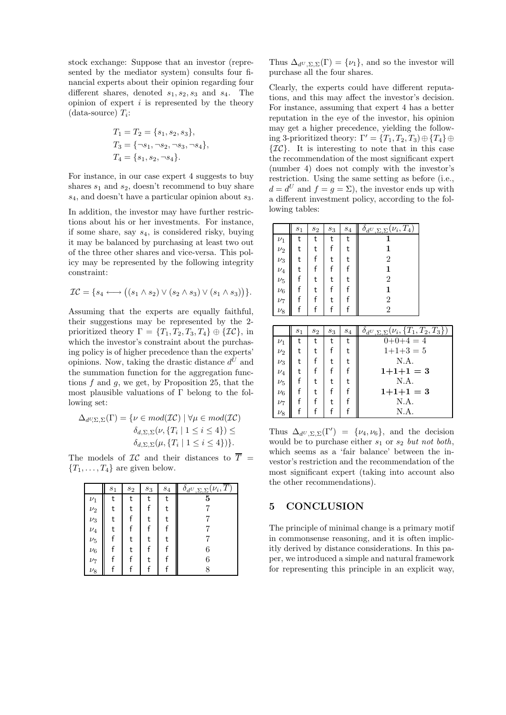stock exchange: Suppose that an investor (represented by the mediator system) consults four financial experts about their opinion regarding four different shares, denoted  $s_1, s_2, s_3$  and  $s_4$ . The opinion of expert  $i$  is represented by the theory  $(data-source)$   $T_i$ :

$$
T_1 = T_2 = \{s_1, s_2, s_3\},
$$
  
\n
$$
T_3 = \{\neg s_1, \neg s_2, \neg s_3, \neg s_4\},
$$
  
\n
$$
T_4 = \{s_1, s_2, \neg s_4\}.
$$

For instance, in our case expert 4 suggests to buy shares  $s_1$  and  $s_2$ , doesn't recommend to buy share  $s_4$ , and doesn't have a particular opinion about  $s_3$ .

In addition, the investor may have further restrictions about his or her investments. For instance, if some share, say  $s_4$ , is considered risky, buying it may be balanced by purchasing at least two out of the three other shares and vice-versa. This policy may be represented by the following integrity constraint:

$$
\mathcal{IC} = \{s_4 \longleftrightarrow ((s_1 \wedge s_2) \vee (s_2 \wedge s_3) \vee (s_1 \wedge s_3))\}.
$$

Assuming that the experts are equally faithful, their suggestions may be represented by the 2 prioritized theory  $\Gamma = \{T_1, T_2, T_3, T_4\} \oplus \{\mathcal{IC}\},\$  in which the investor's constraint about the purchasing policy is of higher precedence than the experts' opinions. Now, taking the drastic distance  $d^U$  and the summation function for the aggregation functions  $f$  and  $g$ , we get, by Proposition 25, that the most plausible valuations of  $\Gamma$  belong to the following set:

$$
\Delta_{d^U\Sigma,\Sigma}(\Gamma) = \{ \nu \in mod(\mathcal{IC}) \mid \forall \mu \in mod(\mathcal{IC}) \delta_{d,\Sigma,\Sigma}(\nu, \{T_i \mid 1 \le i \le 4\}) \le \delta_{d,\Sigma,\Sigma}(\mu, \{T_i \mid 1 \le i \le 4\}) \}.
$$

The models of  $\mathcal{IC}$  and their distances to  $\overline{T}$  =  ${T_1, \ldots, T_4}$  are given below.

|         | $s_1$ | $s_2$ | $s_3$ | $s_4$ | $\delta_{d^U, \Sigma, \Sigma}(\nu_i, T)$ |
|---------|-------|-------|-------|-------|------------------------------------------|
| $\nu_1$ | t     |       |       |       |                                          |
| $\nu_2$ |       |       |       |       |                                          |
| $\nu_3$ |       |       |       |       |                                          |
| $\nu_4$ |       |       |       |       |                                          |
| $\nu_5$ |       |       |       |       |                                          |
| $\nu_6$ |       |       |       |       | 6                                        |
| $\nu_7$ |       |       |       |       | 6                                        |
| $\nu_8$ |       |       |       |       |                                          |

Thus  $\Delta_{d^U, \Sigma, \Sigma}(\Gamma) = {\nu_1}$ , and so the investor will purchase all the four shares.

Clearly, the experts could have different reputations, and this may affect the investor's decision. For instance, assuming that expert 4 has a better reputation in the eye of the investor, his opinion may get a higher precedence, yielding the following 3-prioritized theory:  $\Gamma' = \{T_1, T_2, T_3\} \oplus \{T_4\} \oplus$  $\{\mathcal{IC}\}\$ . It is interesting to note that in this case the recommendation of the most significant expert (number 4) does not comply with the investor's restriction. Using the same setting as before (i.e.,  $d = d^U$  and  $f = g = \Sigma$ , the investor ends up with a different investment policy, according to the following tables:

|         | $s_1$ | $\sqrt{s_{2}}$ | $\sqrt{s_3}$ | $s_4$ | $\overline{\delta_{d^U,\Sigma,\Sigma}}$<br>$\mathcal{L}_i, T_4$ |
|---------|-------|----------------|--------------|-------|-----------------------------------------------------------------|
| $\nu_1$ | t     |                | t            | t     |                                                                 |
| $\nu_2$ |       |                |              |       | 1                                                               |
| $\nu_3$ |       |                | t            |       | $\overline{2}$                                                  |
| $\nu_4$ |       |                |              |       | 1                                                               |
| $\nu_5$ |       |                | t            |       | 2                                                               |
| $\nu_6$ |       |                |              |       | 1                                                               |
| $\nu_7$ |       |                | t            |       | $\overline{2}$                                                  |
| $\nu_8$ |       |                |              |       | $\overline{2}$                                                  |

|         | s <sub>1</sub> | $s_2$ | $s_3$ | $s_4$ | $\delta_{d^U,\Sigma,\Sigma}(\nu_i,\{T_1,T_2,T_3\})$ |
|---------|----------------|-------|-------|-------|-----------------------------------------------------|
| $\nu_1$ |                | t     |       | t     | $0+0+4=4$                                           |
| $\nu_2$ |                |       |       |       | $1+1+3=5$                                           |
| $\nu_3$ |                |       |       |       | N.A.                                                |
| $\nu_4$ |                |       |       |       | $1+1+1=3$                                           |
| $\nu_5$ |                |       |       |       | N.A.                                                |
| $\nu_6$ |                |       |       |       | $1+1+1=3$                                           |
| $\nu_7$ |                |       |       |       | N.A.                                                |
| $\nu_8$ |                |       |       |       | $N.A$ .                                             |

Thus  $\Delta_{d^U, \Sigma, \Sigma}(\Gamma') = {\nu_4, \nu_6},$  and the decision would be to purchase either  $s_1$  or  $s_2$  but not both, which seems as a 'fair balance' between the investor's restriction and the recommendation of the most significant expert (taking into account also the other recommendations).

## 5 CONCLUSION

The principle of minimal change is a primary motif in commonsense reasoning, and it is often implicitly derived by distance considerations. In this paper, we introduced a simple and natural framework for representing this principle in an explicit way,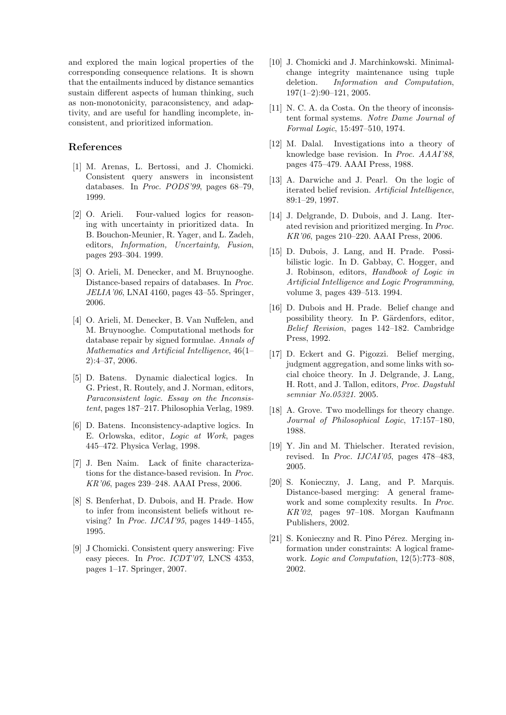and explored the main logical properties of the corresponding consequence relations. It is shown that the entailments induced by distance semantics sustain different aspects of human thinking, such as non-monotonicity, paraconsistency, and adaptivity, and are useful for handling incomplete, inconsistent, and prioritized information.

### References

- [1] M. Arenas, L. Bertossi, and J. Chomicki. Consistent query answers in inconsistent databases. In Proc. PODS'99, pages 68–79, 1999.
- [2] O. Arieli. Four-valued logics for reasoning with uncertainty in prioritized data. In B. Bouchon-Meunier, R. Yager, and L. Zadeh, editors, Information, Uncertainty, Fusion, pages 293–304. 1999.
- [3] O. Arieli, M. Denecker, and M. Bruynooghe. Distance-based repairs of databases. In Proc. JELIA'06, LNAI 4160, pages 43–55. Springer, 2006.
- [4] O. Arieli, M. Denecker, B. Van Nuffelen, and M. Bruynooghe. Computational methods for database repair by signed formulae. Annals of Mathematics and Artificial Intelligence, 46(1– 2):4–37, 2006.
- [5] D. Batens. Dynamic dialectical logics. In G. Priest, R. Routely, and J. Norman, editors, Paraconsistent logic. Essay on the Inconsistent, pages 187–217. Philosophia Verlag, 1989.
- [6] D. Batens. Inconsistency-adaptive logics. In E. Orlowska, editor, Logic at Work, pages 445–472. Physica Verlag, 1998.
- [7] J. Ben Naim. Lack of finite characterizations for the distance-based revision. In Proc. KR'06, pages 239–248. AAAI Press, 2006.
- [8] S. Benferhat, D. Dubois, and H. Prade. How to infer from inconsistent beliefs without revising? In Proc. IJCAI'95, pages 1449–1455, 1995.
- [9] J Chomicki. Consistent query answering: Five easy pieces. In Proc. ICDT'07, LNCS 4353, pages 1–17. Springer, 2007.
- [10] J. Chomicki and J. Marchinkowski. Minimalchange integrity maintenance using tuple deletion. Information and Computation, 197(1–2):90–121, 2005.
- [11] N. C. A. da Costa. On the theory of inconsistent formal systems. Notre Dame Journal of Formal Logic, 15:497–510, 1974.
- [12] M. Dalal. Investigations into a theory of knowledge base revision. In Proc. AAAI'88, pages 475–479. AAAI Press, 1988.
- [13] A. Darwiche and J. Pearl. On the logic of iterated belief revision. Artificial Intelligence, 89:1–29, 1997.
- [14] J. Delgrande, D. Dubois, and J. Lang. Iterated revision and prioritized merging. In Proc. KR'06, pages 210–220. AAAI Press, 2006.
- [15] D. Dubois, J. Lang, and H. Prade. Possibilistic logic. In D. Gabbay, C. Hogger, and J. Robinson, editors, Handbook of Logic in Artificial Intelligence and Logic Programming, volume 3, pages 439–513. 1994.
- [16] D. Dubois and H. Prade. Belief change and possibility theory. In P. Gärdenfors, editor, Belief Revision, pages 142–182. Cambridge Press, 1992.
- [17] D. Eckert and G. Pigozzi. Belief merging, judgment aggregation, and some links with social choice theory. In J. Delgrande, J. Lang, H. Rott, and J. Tallon, editors, Proc. Dagstuhl semniar No.05321. 2005.
- [18] A. Grove. Two modellings for theory change. Journal of Philosophical Logic, 17:157–180, 1988.
- [19] Y. Jin and M. Thielscher. Iterated revision, revised. In Proc. IJCAI'05, pages 478–483, 2005.
- [20] S. Konieczny, J. Lang, and P. Marquis. Distance-based merging: A general framework and some complexity results. In Proc. KR'02, pages 97–108. Morgan Kaufmann Publishers, 2002.
- $[21]$  S. Konieczny and R. Pino Pérez. Merging information under constraints: A logical framework. Logic and Computation, 12(5):773-808, 2002.